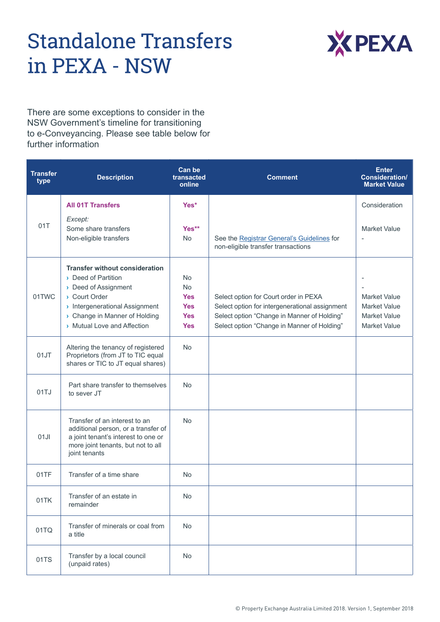## **Standalone Transfers** in PEXA - NSW



There are some exceptions to consider in the NSW Government's timeline for transitioning to e-Conveyancing. Please see table below for further information

| <b>Transfer</b><br>type | <b>Description</b>                                                                                                                                                                                | Can be<br>transacted<br>online                                                 | <b>Comment</b>                                                                                                                                                                        | <b>Enter</b><br><b>Consideration/</b><br><b>Market Value</b>                             |
|-------------------------|---------------------------------------------------------------------------------------------------------------------------------------------------------------------------------------------------|--------------------------------------------------------------------------------|---------------------------------------------------------------------------------------------------------------------------------------------------------------------------------------|------------------------------------------------------------------------------------------|
|                         | <b>All 01T Transfers</b>                                                                                                                                                                          | Yes*                                                                           |                                                                                                                                                                                       | Consideration                                                                            |
| 01T                     | Except:<br>Some share transfers<br>Non-eligible transfers                                                                                                                                         | Yes**<br><b>No</b>                                                             | See the Registrar General's Guidelines for<br>non-eligible transfer transactions                                                                                                      | <b>Market Value</b><br>$\overline{\phantom{a}}$                                          |
| 01TWC                   | <b>Transfer without consideration</b><br>Deed of Partition<br>Deed of Assignment<br>Court Order<br>> Intergenerational Assignment<br>> Change in Manner of Holding<br>> Mutual Love and Affection | <b>No</b><br><b>No</b><br><b>Yes</b><br><b>Yes</b><br><b>Yes</b><br><b>Yes</b> | Select option for Court order in PEXA<br>Select option for intergenerational assignment<br>Select option "Change in Manner of Holding"<br>Select option "Change in Manner of Holding" | <b>Market Value</b><br><b>Market Value</b><br><b>Market Value</b><br><b>Market Value</b> |
| 01JT                    | Altering the tenancy of registered<br>Proprietors (from JT to TIC equal<br>shares or TIC to JT equal shares)                                                                                      | <b>No</b>                                                                      |                                                                                                                                                                                       |                                                                                          |
| 01TJ                    | Part share transfer to themselves<br>to sever JT                                                                                                                                                  | <b>No</b>                                                                      |                                                                                                                                                                                       |                                                                                          |
| 01JI                    | Transfer of an interest to an<br>additional person, or a transfer of<br>a joint tenant's interest to one or<br>more joint tenants, but not to all<br>joint tenants                                | <b>No</b>                                                                      |                                                                                                                                                                                       |                                                                                          |
| 01TF                    | Transfer of a time share                                                                                                                                                                          | <b>No</b>                                                                      |                                                                                                                                                                                       |                                                                                          |
| 01TK                    | Transfer of an estate in<br>remainder                                                                                                                                                             | No                                                                             |                                                                                                                                                                                       |                                                                                          |
| 01TQ                    | Transfer of minerals or coal from<br>a title                                                                                                                                                      | <b>No</b>                                                                      |                                                                                                                                                                                       |                                                                                          |
| 01TS                    | Transfer by a local council<br>(unpaid rates)                                                                                                                                                     | No                                                                             |                                                                                                                                                                                       |                                                                                          |